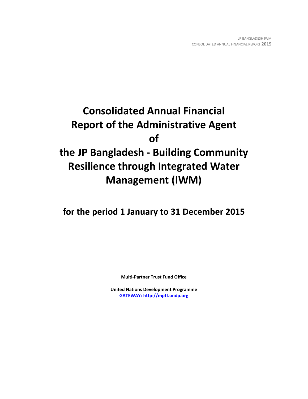# **Consolidated Annual Financial Report of the Administrative Agent of the JP Bangladesh - Building Community Resilience through Integrated Water Management (IWM)**

**for the period 1 January to 31 December 2015**

**Multi-Partner Trust Fund Office**

**United Nations Development Programme [GATEWAY: http://mptf.undp.org](http://mptf.undp.org/)**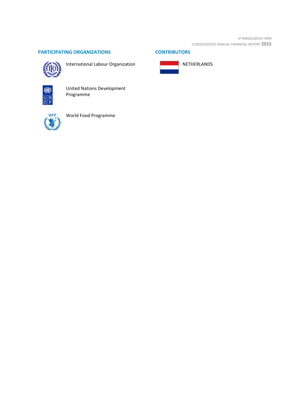JP BANGLADESH IWM CONSOLIDATED ANNUAL FINANCIAL REPORT **2015**

# **PARTICIPATING ORGANIZATIONS CONTRIBUTORS**



International Labour Organization







United Nations Development Programme



World Food Programme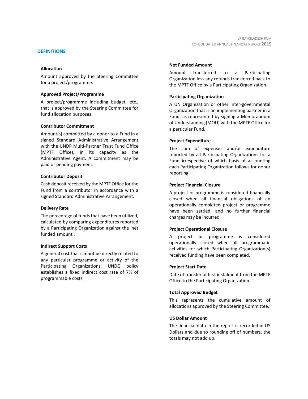#### **DEFINITIONS**

#### **Allocation**

Amount approved by the Steering Committee for a project/programme.

#### **Approved Project/Programme**

A project/programme including budget, etc., that is approved by the Steering Committee for fund allocation purposes.

#### **Contributor Commitment**

Amount(s) committed by a donor to a Fund in a signed Standard Administrative Arrangement with the UNDP Multi-Partner Trust Fund Office (MPTF Office), in its capacity as the Administrative Agent. A commitment may be paid or pending payment.

#### **Contributor Deposit**

Cash deposit received by the MPTF Office for the Fund from a contributor in accordance with a signed Standard Administrative Arrangement.

#### **Delivery Rate**

The percentage of funds that have been utilized, calculated by comparing expenditures reported by a Participating Organization against the 'net funded amount'.

#### **Indirect Support Costs**

A general cost that cannot be directly related to any particular programme or activity of the Participating Organizations. UNDG policy establishes a fixed indirect cost rate of 7% of programmable costs.

#### **Net Funded Amount**

Amount transferred to a Participating Organization less any refunds transferred back to the MPTF Office by a Participating Organization.

## **Participating Organization**

A UN Organization or other inter-governmental Organization that is an implementing partner in a Fund, as represented by signing a Memorandum of Understanding (MOU) with the MPTF Office for a particular Fund.

#### **Project Expenditure**

The sum of expenses and/or expenditure reported by all Participating Organizations for a Fund irrespective of which basis of accounting each Participating Organization follows for donor reporting.

#### **Project Financial Closure**

A project or programme is considered financially closed when all financial obligations of an operationally completed project or programme have been settled, and no further financial charges may be incurred.

## **Project Operational Closure**

A project or programme is considered operationally closed when all programmatic activities for which Participating Organization(s) received funding have been completed.

#### **Project Start Date**

Date of transfer of first instalment from the MPTF Office to the Participating Organization.

#### **Total Approved Budget**

This represents the cumulative amount of allocations approved by the Steering Committee.

#### **US Dollar Amount**

The financial data in the report is recorded in US Dollars and due to rounding off of numbers, the totals may not add up.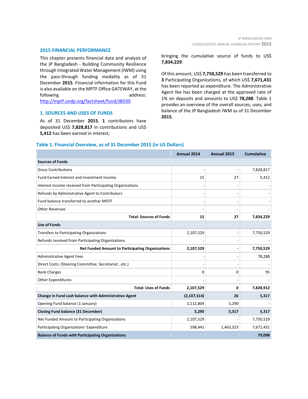#### **2015 FINANCIAL PERFORMANCE**

This chapter presents financial data and analysis of the JP Bangladesh - Building Community Resilience through Integrated Water Management (IWM) using the pass-through funding modality as of 31 December **2015**. Financial information for this Fund is also available on the MPTF Office GATEWAY, at the following address: [http://mptf.undp.org/factsheet/fund/JBD30.](http://mptf.undp.org/factsheet/fund/JBD30) 

#### **1. SOURCES AND USES OF FUNDS**

As of 31 December **2015**, **1** contributors have deposited US\$ **7,828,817** in contributions and US\$ **5,412** has been earned in interest,

bringing the cumulative source of funds to US\$ **7,834,229**.

Of this amount, US\$ **7,750,529** has been transferred to **3** Participating Organizations, of which US\$ **7,671,431** has been reported as expenditure. The Administrative Agent fee has been charged at the approved rate of 1% on deposits and amounts to US\$ **78,288**. Table 1 provides an overview of the overall sources, uses, and balance of the JP Bangladesh IWM as of 31 December **2015**.

|                                                           | <b>Annual 2014</b> | Annual 2015 | <b>Cumulative</b> |
|-----------------------------------------------------------|--------------------|-------------|-------------------|
| <b>Sources of Funds</b>                                   |                    |             |                   |
| <b>Gross Contributions</b>                                |                    |             | 7,828,817         |
| Fund Earned Interest and Investment Income                | 15                 | 27          | 5,412             |
| Interest Income received from Participating Organizations |                    |             |                   |
| Refunds by Administrative Agent to Contributors           |                    |             |                   |
| Fund balance transferred to another MDTF                  |                    |             |                   |
| <b>Other Revenues</b>                                     |                    |             |                   |
| <b>Total: Sources of Funds</b>                            | 15                 | 27          | 7,834,229         |
| <b>Use of Funds</b>                                       |                    |             |                   |
| <b>Transfers to Participating Organizations</b>           | 2,107,529          |             | 7,750,529         |
| Refunds received from Participating Organizations         |                    |             |                   |
| <b>Net Funded Amount to Participating Organizations</b>   | 2,107,529          |             | 7,750,529         |
| <b>Administrative Agent Fees</b>                          |                    |             | 78,288            |
| Direct Costs: (Steering Committee, Secretariatetc.)       |                    |             |                   |
| <b>Bank Charges</b>                                       | 0                  | 0           | 95                |
| <b>Other Expenditures</b>                                 |                    |             |                   |
| <b>Total: Uses of Funds</b>                               | 2,107,529          | 0           | 7,828,912         |
| Change in Fund cash balance with Administrative Agent     | (2, 107, 514)      | 26          | 5,317             |
| Opening Fund balance (1 January)                          | 2,112,804          | 5,290       |                   |
| <b>Closing Fund balance (31 December)</b>                 | 5,290              | 5,317       | 5,317             |
| Net Funded Amount to Participating Organizations          | 2,107,529          |             | 7,750,529         |
| Participating Organizations' Expenditure                  | 598,441            | 1,463,323   | 7,671,431         |
| <b>Balance of Funds with Participating Organizations</b>  |                    |             | 79,098            |

### **Table 1. Financial Overview, as of 31 December 2015 (in US Dollars)**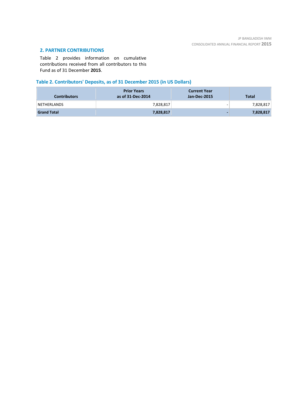# **2. PARTNER CONTRIBUTIONS**

Table 2 provides information on cumulative contributions received from all contributors to this Fund as of 31 December **2015**.

# **Table 2. Contributors' Deposits, as of 31 December 2015 (in US Dollars)**

| <b>Contributors</b> | <b>Prior Years</b><br>as of 31-Dec-2014 | <b>Current Year</b><br>Jan-Dec-2015 | <b>Total</b> |
|---------------------|-----------------------------------------|-------------------------------------|--------------|
| NETHERLANDS         | 7,828,817                               | $\overline{\phantom{0}}$            | 7,828,817    |
| <b>Grand Total</b>  | 7,828,817                               | $\overline{\phantom{0}}$            | 7,828,817    |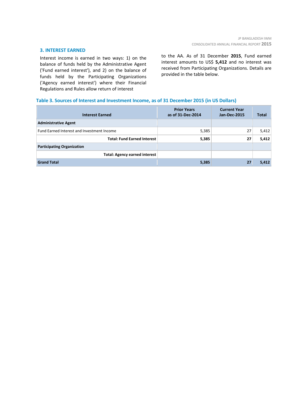#### **3. INTEREST EARNED**

Interest income is earned in two ways: 1) on the balance of funds held by the Administrative Agent ('Fund earned interest'), and 2) on the balance of funds held by the Participating Organizations ('Agency earned interest') where their Financial Regulations and Rules allow return of interest

to the AA. As of 31 December **2015**, Fund earned interest amounts to US\$ **5,412** and no interest was received from Participating Organizations. Details are provided in the table below.

## **Table 3. Sources of Interest and Investment Income, as of 31 December 2015 (in US Dollars)**

| <b>Interest Earned</b>                     | <b>Prior Years</b><br>as of 31-Dec-2014 | <b>Current Year</b><br><b>Jan-Dec-2015</b> | <b>Total</b> |
|--------------------------------------------|-----------------------------------------|--------------------------------------------|--------------|
| <b>Administrative Agent</b>                |                                         |                                            |              |
| Fund Earned Interest and Investment Income | 5,385                                   | 27                                         | 5,412        |
| <b>Total: Fund Earned Interest</b>         | 5,385                                   | 27                                         | 5,412        |
| <b>Participating Organization</b>          |                                         |                                            |              |
| <b>Total: Agency earned interest</b>       |                                         |                                            |              |
| <b>Grand Total</b>                         | 5,385                                   | 27                                         | 5,412        |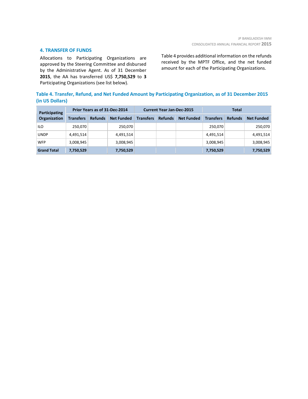#### **4. TRANSFER OF FUNDS**

Allocations to Participating Organizations are approved by the Steering Committee and disbursed by the Administrative Agent. As of 31 December **2015**, the AA has transferred US\$ **7,750,529** to **3** Participating Organizations (see list below).

Table 4 provides additional information on the refunds received by the MPTF Office, and the net funded amount for each of the Participating Organizations.

# **Table 4. Transfer, Refund, and Net Funded Amount by Participating Organization, as of 31 December 2015 (in US Dollars)**

| Participating<br>Organization | Prior Years as of 31-Dec-2014 |                |                   | <b>Current Year Jan-Dec-2015</b> |                |                   | <b>Total</b>     |                |                   |
|-------------------------------|-------------------------------|----------------|-------------------|----------------------------------|----------------|-------------------|------------------|----------------|-------------------|
|                               | <b>Transfers</b>              | <b>Refunds</b> | <b>Net Funded</b> | <b>Transfers</b>                 | <b>Refunds</b> | <b>Net Funded</b> | <b>Transfers</b> | <b>Refunds</b> | <b>Net Funded</b> |
| ILO                           | 250,070                       |                | 250,070           |                                  |                |                   | 250.070          |                | 250,070           |
| <b>UNDP</b>                   | 4,491,514                     |                | 4,491,514         |                                  |                |                   | 4,491,514        |                | 4,491,514         |
| <b>WFP</b>                    | 3,008,945                     |                | 3,008,945         |                                  |                |                   | 3,008,945        |                | 3,008,945         |
| <b>Grand Total</b>            | 7,750,529                     |                | 7,750,529         |                                  |                |                   | 7,750,529        |                | 7,750,529         |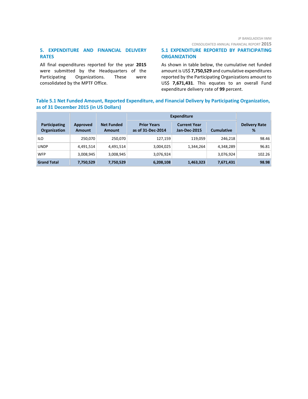CONSOLIDATED ANNUAL FINANCIAL REPORT **2015**

# **5. EXPENDITURE AND FINANCIAL DELIVERY RATES**

All final expenditures reported for the year **2015** were submitted by the Headquarters of the Participating Organizations. These were consolidated by the MPTF Office.

## **5.1 EXPENDITURE REPORTED BY PARTICIPATING ORGANIZATION**

As shown in table below, the cumulative net funded amount is US\$ **7,750,529** and cumulative expenditures reported by the Participating Organizations amount to US\$ **7,671,431**. This equates to an overall Fund expenditure delivery rate of **99** percent.

# **Table 5.1 Net Funded Amount, Reported Expenditure, and Financial Delivery by Participating Organization, as of 31 December 2015 (in US Dollars)**

|                               |                           |                                    | <b>Expenditure</b>                      |                                            |                   |                           |
|-------------------------------|---------------------------|------------------------------------|-----------------------------------------|--------------------------------------------|-------------------|---------------------------|
| Participating<br>Organization | Approved<br><b>Amount</b> | <b>Net Funded</b><br><b>Amount</b> | <b>Prior Years</b><br>as of 31-Dec-2014 | <b>Current Year</b><br><b>Jan-Dec-2015</b> | <b>Cumulative</b> | <b>Delivery Rate</b><br>% |
| ILO                           | 250,070                   | 250,070                            | 127,159                                 | 119,059                                    | 246.218           | 98.46                     |
| <b>UNDP</b>                   | 4,491,514                 | 4,491,514                          | 3,004,025                               | 1,344,264                                  | 4,348,289         | 96.81                     |
| <b>WFP</b>                    | 3,008,945                 | 3,008,945                          | 3,076,924                               |                                            | 3,076,924         | 102.26                    |
| <b>Grand Total</b>            | 7,750,529                 | 7,750,529                          | 6,208,108                               | 1,463,323                                  | 7,671,431         | 98.98                     |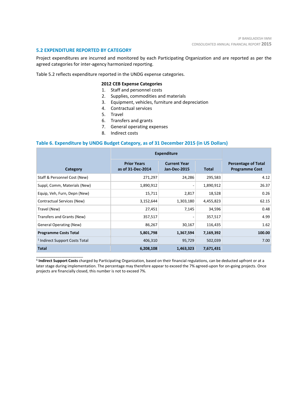#### **5.2 EXPENDITURE REPORTED BY CATEGORY**

\_\_\_\_\_\_\_\_\_\_\_\_\_\_\_\_\_\_\_\_\_\_

Project expenditures are incurred and monitored by each Participating Organization and are reported as per the agreed categories for inter-agency harmonized reporting.

Table 5.2 reflects expenditure reported in the UNDG expense categories.

#### **2012 CEB Expense Categories**

- 1. Staff and personnel costs
- 2. Supplies, commodities and materials
- 3. Equipment, vehicles, furniture and depreciation
- 4. Contractual services
- 5. Travel
- 6. Transfers and grants
- 7. General operating expenses
- 8. Indirect costs

#### **Table 6. Expenditure by UNDG Budget Category, as of 31 December 2015 (in US Dollars)**

|                                           | <b>Expenditure</b>                      |                                            |           |                                                     |
|-------------------------------------------|-----------------------------------------|--------------------------------------------|-----------|-----------------------------------------------------|
| Category                                  | <b>Prior Years</b><br>as of 31-Dec-2014 | <b>Current Year</b><br><b>Jan-Dec-2015</b> | Total     | <b>Percentage of Total</b><br><b>Programme Cost</b> |
| Staff & Personnel Cost (New)              | 271,297                                 | 24,286                                     | 295,583   | 4.12                                                |
| Suppl, Comm, Materials (New)              | 1,890,912                               |                                            | 1,890,912 | 26.37                                               |
| Equip, Veh, Furn, Depn (New)              | 15,711                                  | 2,817                                      | 18,528    | 0.26                                                |
| Contractual Services (New)                | 3,152,644                               | 1,303,180                                  | 4,455,823 | 62.15                                               |
| Travel (New)                              | 27,451                                  | 7,145                                      | 34,596    | 0.48                                                |
| Transfers and Grants (New)                | 357,517                                 |                                            | 357,517   | 4.99                                                |
| General Operating (New)                   | 86,267                                  | 30,167                                     | 116,435   | 1.62                                                |
| <b>Programme Costs Total</b>              | 5,801,798                               | 1,367,594                                  | 7,169,392 | 100.00                                              |
| <sup>1</sup> Indirect Support Costs Total | 406,310                                 | 95,729                                     | 502,039   | 7.00                                                |
| <b>Total</b>                              | 6,208,108                               | 1,463,323                                  | 7,671,431 |                                                     |

**<sup>1</sup> Indirect Support Costs** charged by Participating Organization, based on their financial regulations, can be deducted upfront or at a later stage during implementation. The percentage may therefore appear to exceed the 7% agreed-upon for on-going projects. Once projects are financially closed, this number is not to exceed 7%.